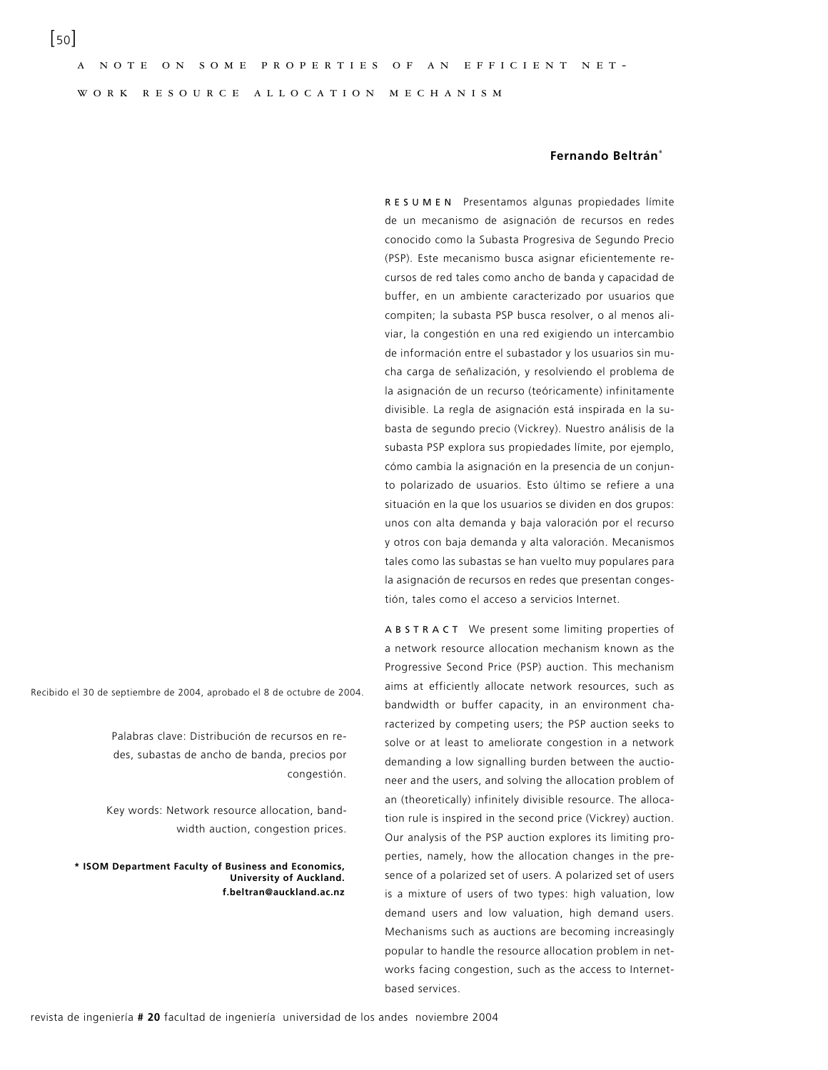w o r k r e s o u r c e a l l o c a t i o n m e c h a n i s m

## **Fernando Beltrán**\*

R E S U M E N Presentamos algunas propiedades límite de un mecanismo de asignación de recursos en redes conocido como la Subasta Progresiva de Segundo Precio (PSP). Este mecanismo busca asignar eficientemente recursos de red tales como ancho de banda y capacidad de buffer, en un ambiente caracterizado por usuarios que compiten; la subasta PSP busca resolver, o al menos aliviar, la congestión en una red exigiendo un intercambio de información entre el subastador y los usuarios sin mucha carga de señalización, y resolviendo el problema de la asignación de un recurso (teóricamente) infinitamente divisible. La regla de asignación está inspirada en la subasta de segundo precio (Vickrey). Nuestro análisis de la subasta PSP explora sus propiedades límite, por ejemplo, cómo cambia la asignación en la presencia de un conjunto polarizado de usuarios. Esto último se refiere a una situación en la que los usuarios se dividen en dos grupos: unos con alta demanda y baja valoración por el recurso y otros con baja demanda y alta valoración. Mecanismos tales como las subastas se han vuelto muy populares para la asignación de recursos en redes que presentan congestión, tales como el acceso a servicios Internet.

A B S T R A C T We present some limiting properties of a network resource allocation mechanism known as the Progressive Second Price (PSP) auction. This mechanism aims at efficiently allocate network resources, such as bandwidth or buffer capacity, in an environment characterized by competing users; the PSP auction seeks to solve or at least to ameliorate congestion in a network demanding a low signalling burden between the auctioneer and the users, and solving the allocation problem of an (theoretically) infinitely divisible resource. The allocation rule is inspired in the second price (Vickrey) auction. Our analysis of the PSP auction explores its limiting properties, namely, how the allocation changes in the presence of a polarized set of users. A polarized set of users is a mixture of users of two types: high valuation, low demand users and low valuation, high demand users. Mechanisms such as auctions are becoming increasingly popular to handle the resource allocation problem in networks facing congestion, such as the access to Internetbased services.

Recibido el 30 de septiembre de 2004, aprobado el 8 de octubre de 2004.

Palabras clave: Distribución de recursos en redes, subastas de ancho de banda, precios por congestión.

Key words: Network resource allocation, bandwidth auction, congestion prices.

**\* ISOM Department Faculty of Business and Economics, University of Auckland. f.beltran@auckland.ac.nz**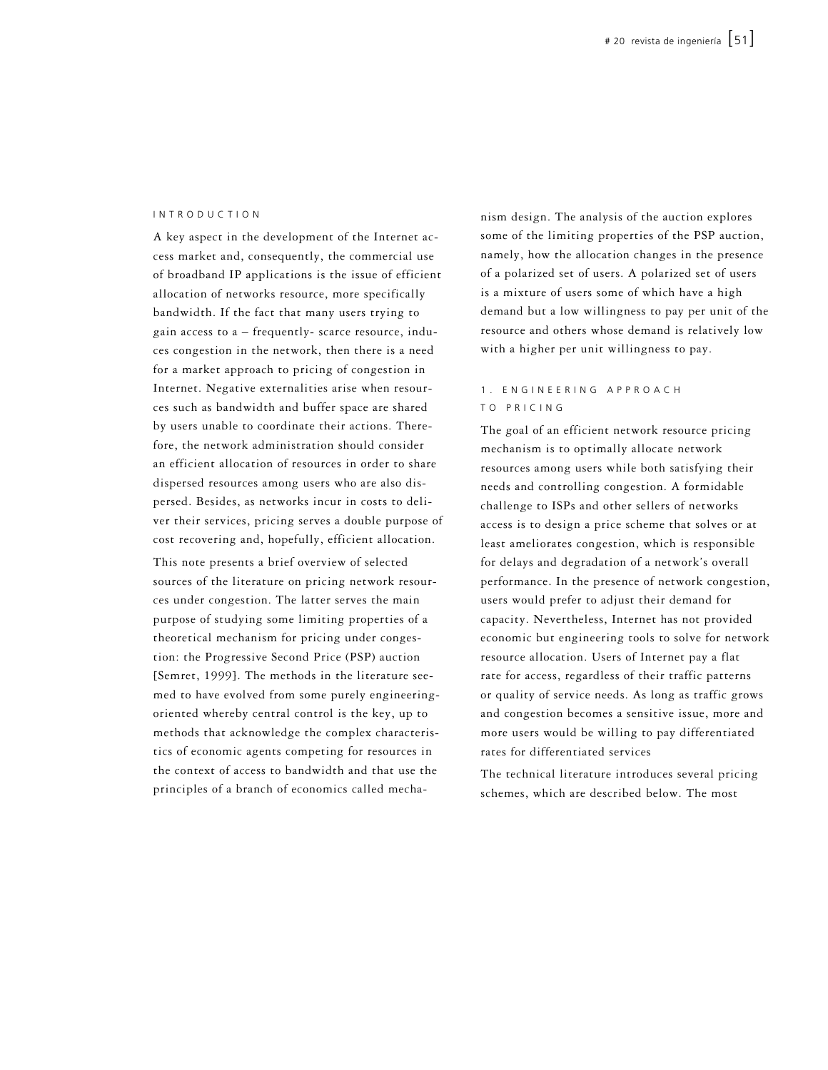#### I N T R O D U C T I O N

A key aspect in the development of the Internet access market and, consequently, the commercial use of broadband IP applications is the issue of efficient allocation of networks resource, more specifically bandwidth. If the fact that many users trying to gain access to a – frequently- scarce resource, induces congestion in the network, then there is a need for a market approach to pricing of congestion in Internet. Negative externalities arise when resources such as bandwidth and buffer space are shared by users unable to coordinate their actions. Therefore, the network administration should consider an efficient allocation of resources in order to share dispersed resources among users who are also dispersed. Besides, as networks incur in costs to deliver their services, pricing serves a double purpose of cost recovering and, hopefully, efficient allocation.

This note presents a brief overview of selected sources of the literature on pricing network resources under congestion. The latter serves the main purpose of studying some limiting properties of a theoretical mechanism for pricing under congestion: the Progressive Second Price (PSP) auction [Semret, 1999]. The methods in the literature seemed to have evolved from some purely engineeringoriented whereby central control is the key, up to methods that acknowledge the complex characteristics of economic agents competing for resources in the context of access to bandwidth and that use the principles of a branch of economics called mechanism design. The analysis of the auction explores some of the limiting properties of the PSP auction, namely, how the allocation changes in the presence of a polarized set of users. A polarized set of users is a mixture of users some of which have a high demand but a low willingness to pay per unit of the resource and others whose demand is relatively low with a higher per unit willingness to pay.

# 1. EN GINEERING APPROACH T O P R I C I N G

The goal of an efficient network resource pricing mechanism is to optimally allocate network resources among users while both satisfying their needs and controlling congestion. A formidable challenge to ISPs and other sellers of networks access is to design a price scheme that solves or at least ameliorates congestion, which is responsible for delays and degradation of a network's overall performance. In the presence of network congestion, users would prefer to adjust their demand for capacity. Nevertheless, Internet has not provided economic but engineering tools to solve for network resource allocation. Users of Internet pay a flat rate for access, regardless of their traffic patterns or quality of service needs. As long as traffic grows and congestion becomes a sensitive issue, more and more users would be willing to pay differentiated rates for differentiated services

The technical literature introduces several pricing schemes, which are described below. The most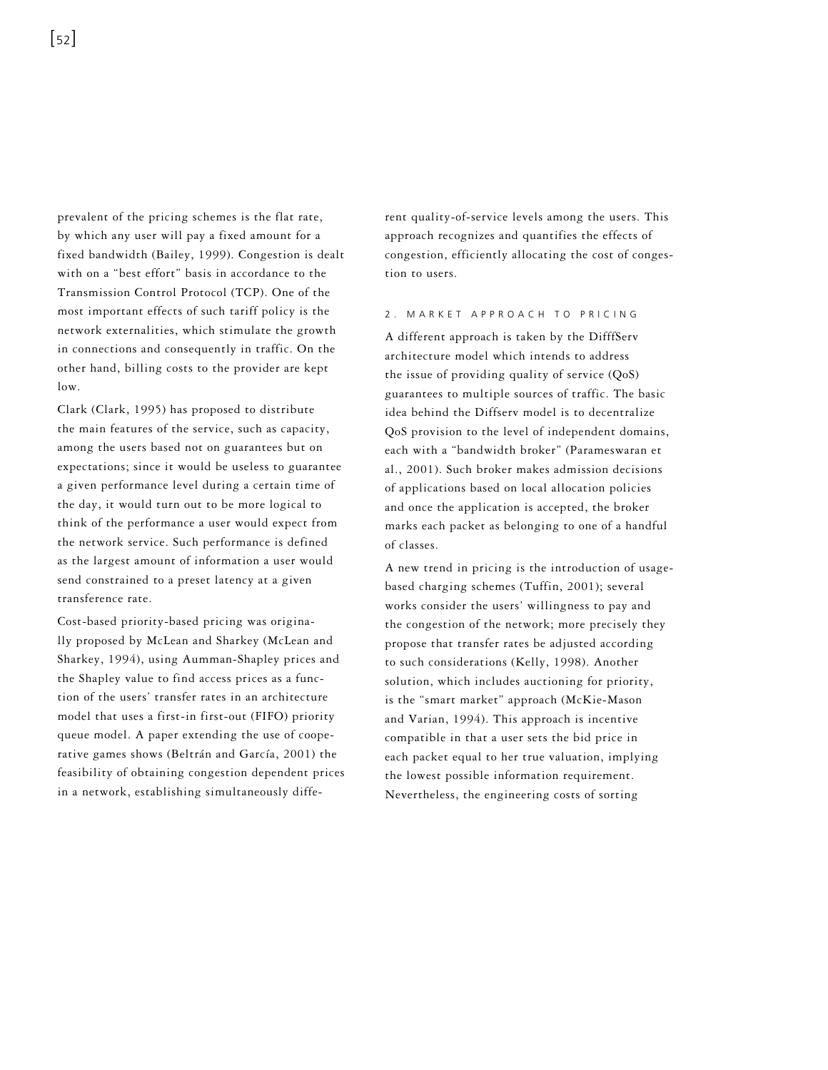prevalent of the pricing schemes is the flat rate, by which any user will pay a fixed amount for a fixed bandwidth (Bailey, 1999). Congestion is dealt with on a "best effort" basis in accordance to the Transmission Control Protocol (TCP). One of the most important effects of such tariff policy is the network externalities, which stimulate the growth in connections and consequently in traffic. On the other hand, billing costs to the provider are kept low.

Clark (Clark, 1995) has proposed to distribute the main features of the service, such as capacity, among the users based not on guarantees but on expectations; since it would be useless to guarantee a given performance level during a certain time of the day, it would turn out to be more logical to think of the performance a user would expect from the network service. Such performance is defined as the largest amount of information a user would send constrained to a preset latency at a given transference rate.

Cost-based priority-based pricing was originally proposed by McLean and Sharkey (McLean and Sharkey, 1994), using Aumman-Shapley prices and the Shapley value to find access prices as a function of the users' transfer rates in an architecture model that uses a first-in first-out (FIFO) priority queue model. A paper extending the use of cooperative games shows (Beltrán and García, 2001) the feasibility of obtaining congestion dependent prices in a network, establishing simultaneously diffe-

rent quality-of-service levels among the users. This approach recognizes and quantifies the effects of congestion, efficiently allocating the cost of congestion to users.

#### 2. MARKET APPROACH TO PRICING

A different approach is taken by the DifffServ architecture model which intends to address the issue of providing quality of service (QoS) guarantees to multiple sources of traffic. The basic idea behind the Diffserv model is to decentralize QoS provision to the level of independent domains, each with a "bandwidth broker" (Parameswaran et al., 2001). Such broker makes admission decisions of applications based on local allocation policies and once the application is accepted, the broker marks each packet as belonging to one of a handful of classes.

A new trend in pricing is the introduction of usagebased charging schemes (Tuffin, 2001); several works consider the users' willingness to pay and the congestion of the network; more precisely they propose that transfer rates be adjusted according to such considerations (Kelly, 1998). Another solution, which includes auctioning for priority, is the "smart market" approach (McKie-Mason and Varian, 1994). This approach is incentive compatible in that a user sets the bid price in each packet equal to her true valuation, implying the lowest possible information requirement. Nevertheless, the engineering costs of sorting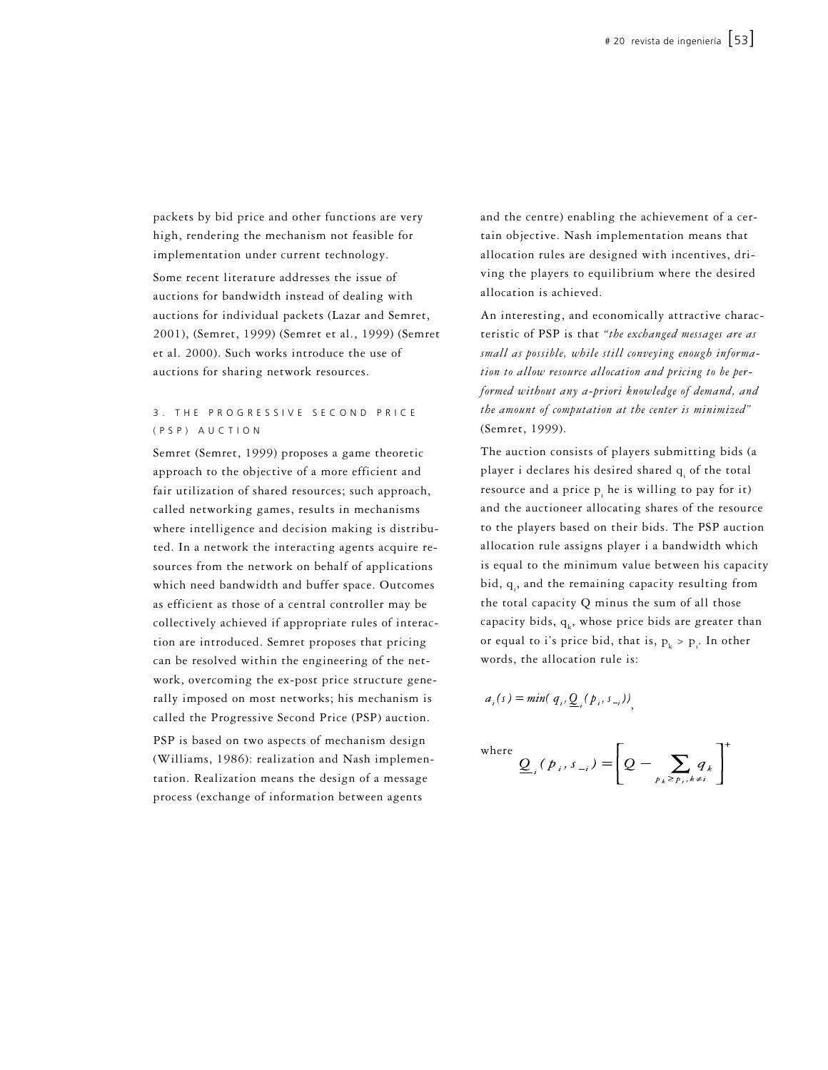packets by bid price and other functions are very high, rendering the mechanism not feasible for implementation under current technology.

Some recent literature addresses the issue of auctions for bandwidth instead of dealing with auctions for individual packets (Lazar and Semret, 2001), (Semret, 1999) (Semret et al., 1999) (Semret et al. 2000). Such works introduce the use of auctions for sharing network resources.

## 3. THE PROGRESSIVE SECOND PRICE ( P S P ) A U C T I O N

Semret (Semret, 1999) proposes a game theoretic approach to the objective of a more efficient and fair utilization of shared resources; such approach, called networking games, results in mechanisms where intelligence and decision making is distributed. In a network the interacting agents acquire resources from the network on behalf of applications which need bandwidth and buffer space. Outcomes as efficient as those of a central controller may be collectively achieved if appropriate rules of interaction are introduced. Semret proposes that pricing can be resolved within the engineering of the network, overcoming the ex-post price structure generally imposed on most networks; his mechanism is called the Progressive Second Price (PSP) auction. PSP is based on two aspects of mechanism design (Williams, 1986): realization and Nash implementation. Realization means the design of a message process (exchange of information between agents

and the centre) enabling the achievement of a certain objective. Nash implementation means that allocation rules are designed with incentives, driving the players to equilibrium where the desired allocation is achieved.

An interesting, and economically attractive characteristic of PSP is that *"the exchanged messages are as small as possible, while still conveying enough information to allow resource allocation and pricing to be performed without any a-priori knowledge of demand, and the amount of computation at the center is minimized"* (Semret, 1999).

The auction consists of players submitting bids (a player i declares his desired shared  $q_i$  of the total resource and a price  $p_i$  he is willing to pay for it) and the auctioneer allocating shares of the resource to the players based on their bids. The PSP auction allocation rule assigns player i a bandwidth which is equal to the minimum value between his capacity bid,  $q_i$ , and the remaining capacity resulting from the total capacity Q minus the sum of all those capacity bids,  $q_k$ , whose price bids are greater than or equal to i's price bid, that is,  $p_k > p_i$ . In other words, the allocation rule is:

$$
a_i(s) = \min(q_i, \underline{Q}_i(p_i, s_{-i}))
$$

where

$$
\sum_{j=1}^{e} (p_{i}, s_{-i}) = \left[ Q - \sum_{p_{k} \ge p_{i}, k \neq i} q_{k} \right]
$$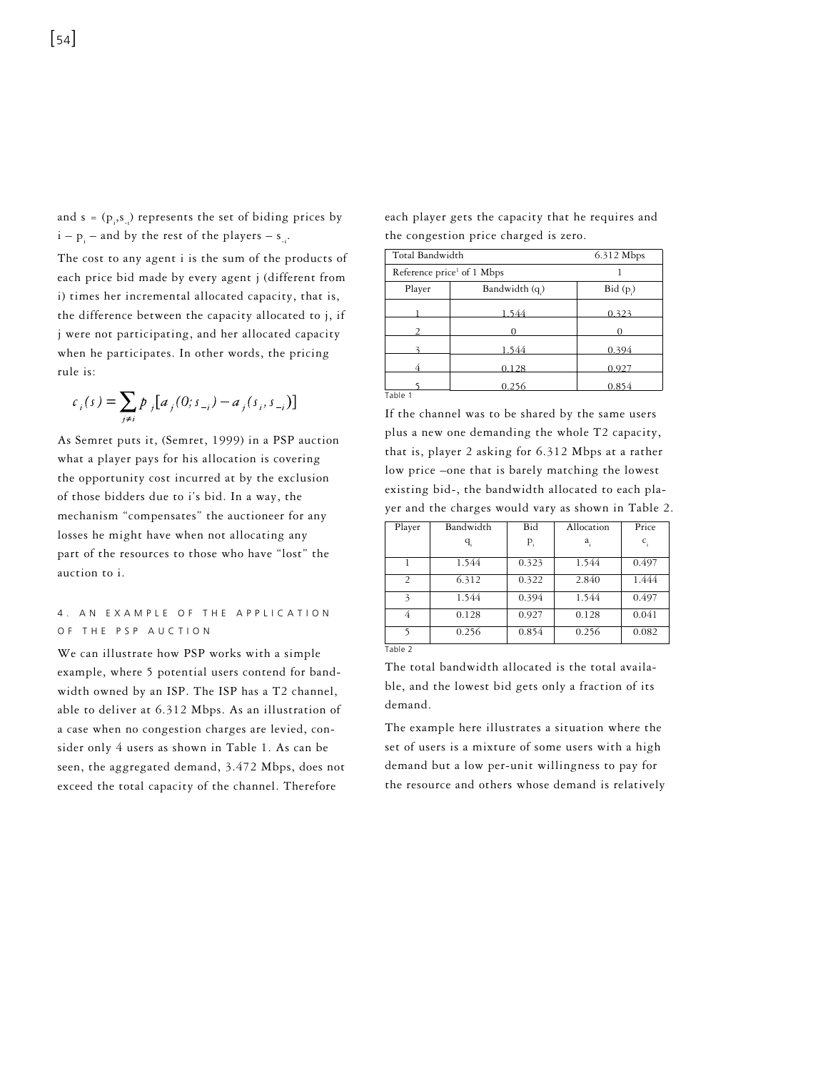and  $s = (p_i, s_{i})$  represents the set of biding prices by  $i - p_i$  – and by the rest of the players –  $s_{-i}$ .

The cost to any agent i is the sum of the products of each price bid made by every agent j (different from i) times her incremental allocated capacity, that is, the difference between the capacity allocated to j, if j were not participating, and her allocated capacity when he participates. In other words, the pricing rule is:

$$
c_i(s) = \sum_{j \neq i} p_j [a_j(0; s_{-i}) - a_j(s_i, s_{-i})]
$$

As Semret puts it, (Semret, 1999) in a PSP auction what a player pays for his allocation is covering the opportunity cost incurred at by the exclusion of those bidders due to i's bid. In a way, the mechanism "compensates" the auctioneer for any losses he might have when not allocating any part of the resources to those who have "lost" the auction to i.

## 4. AN EXAMPLE OF THE APPLICATION OF THE PSP AUCTION

We can illustrate how PSP works with a simple example, where 5 potential users contend for bandwidth owned by an ISP. The ISP has a T2 channel, able to deliver at 6.312 Mbps. As an illustration of a case when no congestion charges are levied, consider only 4 users as shown in Table 1. As can be seen, the aggregated demand, 3.472 Mbps, does not exceed the total capacity of the channel. Therefore

each player gets the capacity that he requires and the congestion price charged is zero.

| Total Bandwidth                        |                             | 6.312 Mbps |  |
|----------------------------------------|-----------------------------|------------|--|
| Reference price <sup>1</sup> of 1 Mbps |                             |            |  |
| Player                                 | Bandwidth (q <sub>.</sub> ) | Bid(p)     |  |
|                                        | 1.544                       | 0.323      |  |
|                                        |                             |            |  |
|                                        | 1 544                       | 0.394      |  |
|                                        | 0.128                       | 0.927      |  |
|                                        | 0.256                       | 0.854      |  |
| Table 1                                |                             |            |  |

If the channel was to be shared by the same users plus a new one demanding the whole T2 capacity, that is, player 2 asking for 6.312 Mbps at a rather low price –one that is barely matching the lowest existing bid-, the bandwidth allocated to each player and the charges would vary as shown in Table 2.

| Player                   | Bandwidth | Bid   | Allocation | Price |
|--------------------------|-----------|-------|------------|-------|
|                          | $q_i$     | $P_i$ | a.         | $c_i$ |
|                          | 1.544     | 0.323 | 1.544      | 0.497 |
| $\overline{2}$           | 6.312     | 0.322 | 2.840      | 1.444 |
| $\overline{\mathcal{L}}$ | 1.544     | 0.394 | 1.544      | 0.497 |
| 4                        | 0.128     | 0.927 | 0.128      | 0.041 |
| 5                        | 0.256     | 0.854 | 0.256      | 0.082 |
| Table 2                  |           |       |            |       |

The total bandwidth allocated is the total available, and the lowest bid gets only a fraction of its demand.

The example here illustrates a situation where the set of users is a mixture of some users with a high demand but a low per-unit willingness to pay for the resource and others whose demand is relatively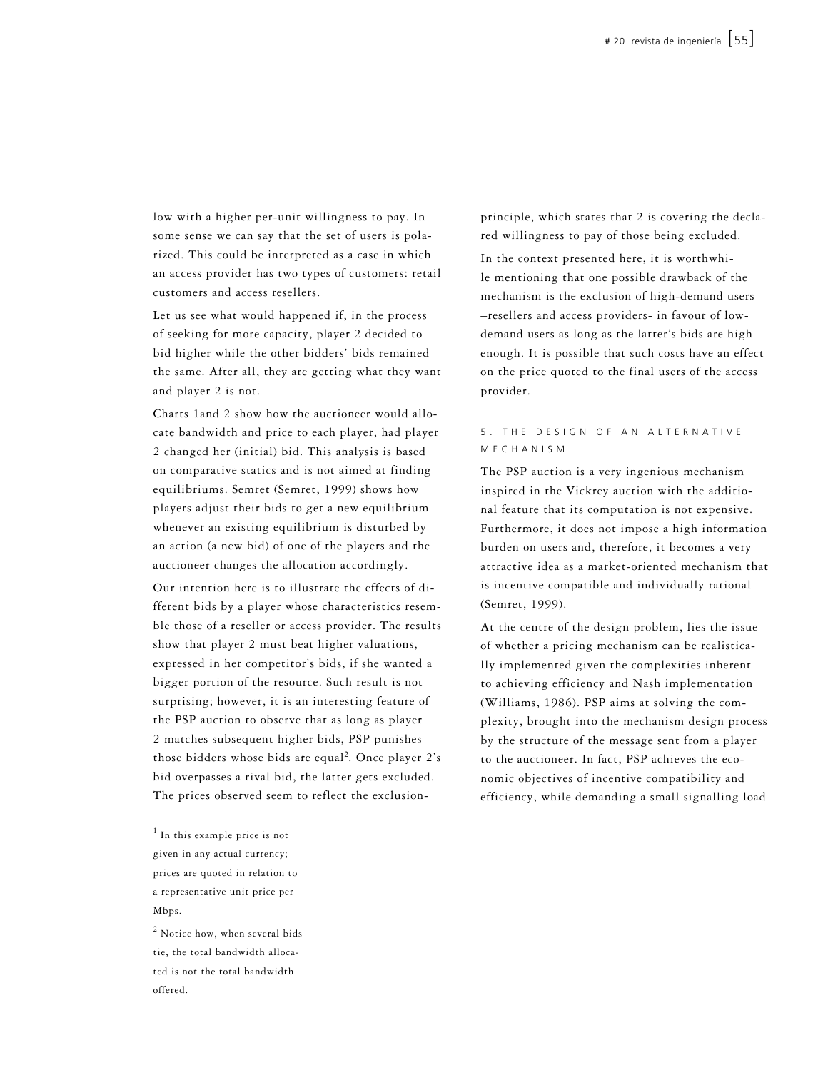low with a higher per-unit willingness to pay. In some sense we can say that the set of users is polarized. This could be interpreted as a case in which an access provider has two types of customers: retail customers and access resellers.

Let us see what would happened if, in the process of seeking for more capacity, player 2 decided to bid higher while the other bidders' bids remained the same. After all, they are getting what they want and player 2 is not.

Charts 1and 2 show how the auctioneer would allocate bandwidth and price to each player, had player 2 changed her (initial) bid. This analysis is based on comparative statics and is not aimed at finding equilibriums. Semret (Semret, 1999) shows how players adjust their bids to get a new equilibrium whenever an existing equilibrium is disturbed by an action (a new bid) of one of the players and the auctioneer changes the allocation accordingly.

Our intention here is to illustrate the effects of different bids by a player whose characteristics resemble those of a reseller or access provider. The results show that player 2 must beat higher valuations, expressed in her competitor's bids, if she wanted a bigger portion of the resource. Such result is not surprising; however, it is an interesting feature of the PSP auction to observe that as long as player 2 matches subsequent higher bids, PSP punishes those bidders whose bids are equal<sup>2</sup>. Once player  $2's$ bid overpasses a rival bid, the latter gets excluded. The prices observed seem to reflect the exclusion-

<sup>1</sup> In this example price is not given in any actual currency; prices are quoted in relation to a representative unit price per Mbps.

<sup>2</sup> Notice how, when several bids tie, the total bandwidth allocated is not the total bandwidth offered.

principle, which states that 2 is covering the declared willingness to pay of those being excluded.

In the context presented here, it is worthwhile mentioning that one possible drawback of the mechanism is the exclusion of high-demand users –resellers and access providers- in favour of lowdemand users as long as the latter's bids are high enough. It is possible that such costs have an effect on the price quoted to the final users of the access provider.

# 5. THE DESIGN OF AN ALTERNATIVE M E C H A N I S M

The PSP auction is a very ingenious mechanism inspired in the Vickrey auction with the additional feature that its computation is not expensive. Furthermore, it does not impose a high information burden on users and, therefore, it becomes a very attractive idea as a market-oriented mechanism that is incentive compatible and individually rational (Semret, 1999).

At the centre of the design problem, lies the issue of whether a pricing mechanism can be realistically implemented given the complexities inherent to achieving efficiency and Nash implementation (Williams, 1986). PSP aims at solving the complexity, brought into the mechanism design process by the structure of the message sent from a player to the auctioneer. In fact, PSP achieves the economic objectives of incentive compatibility and efficiency, while demanding a small signalling load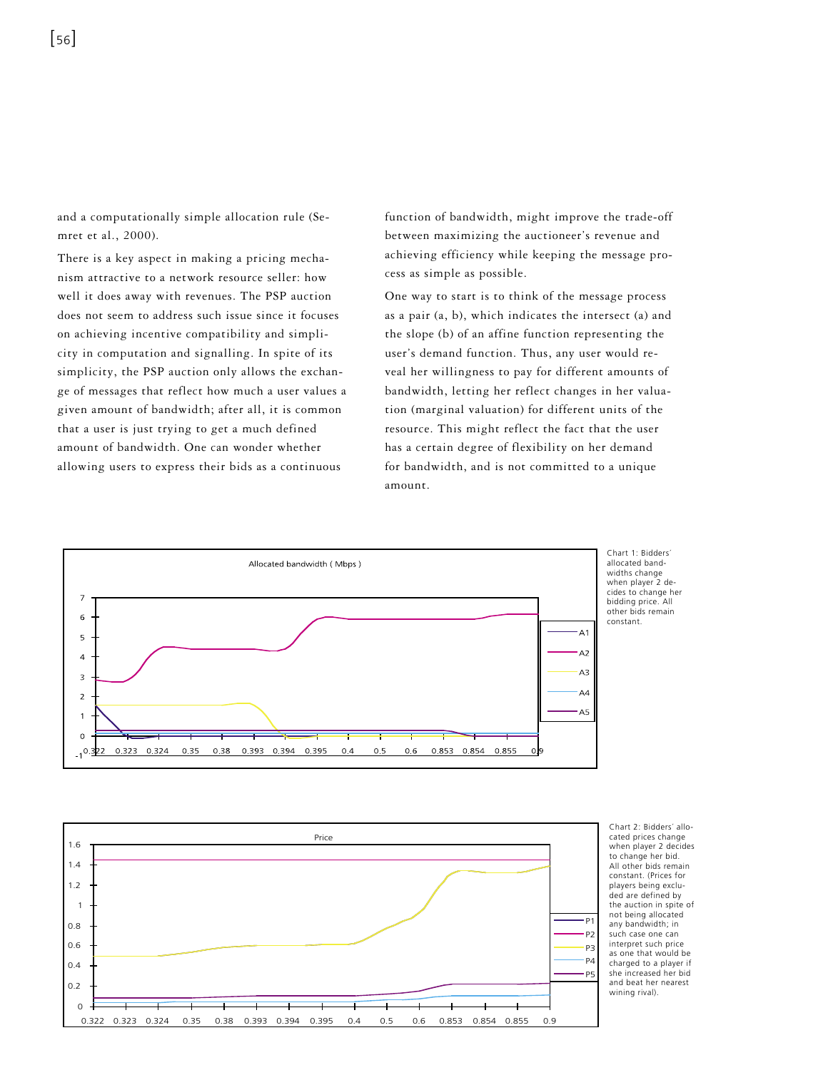and a computationally simple allocation rule (Semret et al., 2000).

There is a key aspect in making a pricing mechanism attractive to a network resource seller: how well it does away with revenues. The PSP auction does not seem to address such issue since it focuses on achieving incentive compatibility and simplicity in computation and signalling. In spite of its simplicity, the PSP auction only allows the exchange of messages that reflect how much a user values a given amount of bandwidth; after all, it is common that a user is just trying to get a much defined amount of bandwidth. One can wonder whether allowing users to express their bids as a continuous

function of bandwidth, might improve the trade-off between maximizing the auctioneer's revenue and achieving efficiency while keeping the message process as simple as possible.

One way to start is to think of the message process as a pair (a, b), which indicates the intersect (a) and the slope (b) of an affine function representing the user's demand function. Thus, any user would reveal her willingness to pay for different amounts of bandwidth, letting her reflect changes in her valuation (marginal valuation) for different units of the resource. This might reflect the fact that the user has a certain degree of flexibility on her demand for bandwidth, and is not committed to a unique amount.



Chart 1: Bidders allocated bandwidths change when player 2 decides to change her bidding price. All other bids remain constant.



Chart 2: Bidders' allocated prices change when player 2 decides to change her bid. All other bids remain constant. (Prices for players being excluded are defined by the auction in spite of not being allocated<br>any bandwidth; in such case one can interpret such price as one that would be charged to a player if she increased her bid and beat her nearest wining rival).